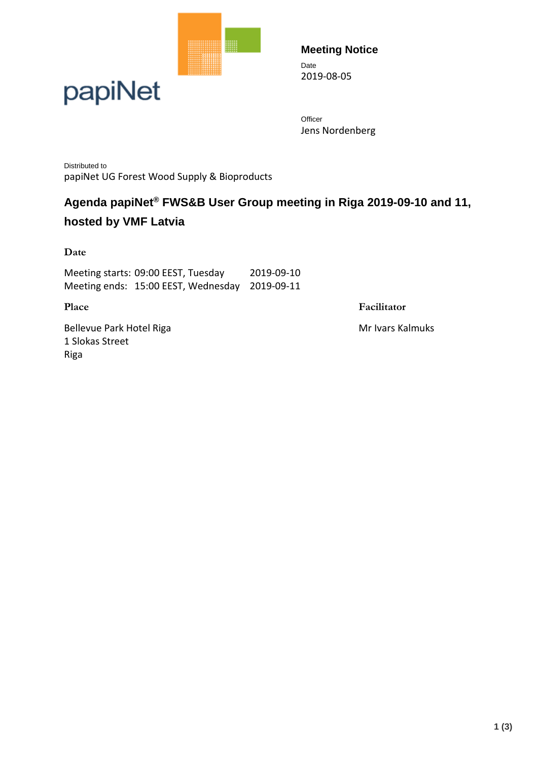



**Meeting Notice** Date 2019-08-05

**Officer** Jens Nordenberg

Distributed to papiNet UG Forest Wood Supply & Bioproducts

### **Agenda papiNet® FWS&B User Group meeting in Riga 2019-09-10 and 11, hosted by VMF Latvia**

**Date**

Meeting starts: 09:00 EEST, Tuesday 2019-09-10 Meeting ends: 15:00 EEST, Wednesday 2019-09-11

**Place Facilitator** 

Bellevue Park Hotel Riga Mr Ivars Kalmuks 1 Slokas Street Riga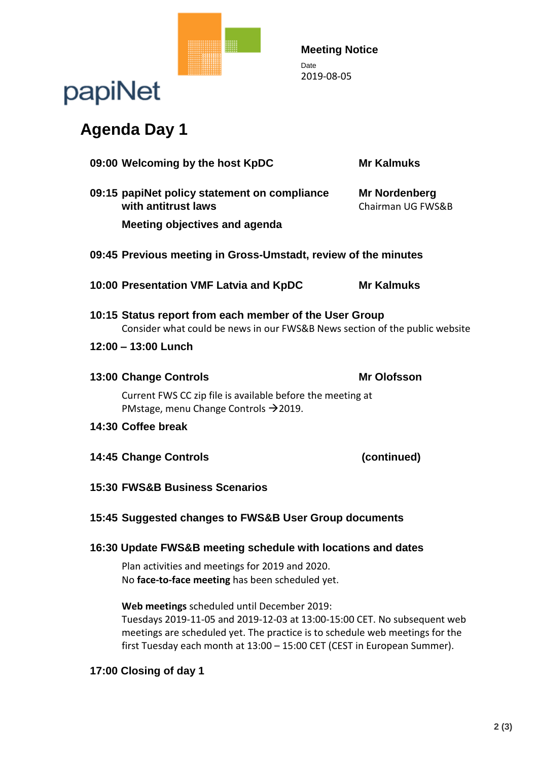

#### **Meeting Notice** Date 2019-08-05

## papiNet

## **Agenda Day 1**

| 09:00 Welcoming by the host KpDC                                                                                                                                                                        | <b>Mr Kalmuks</b>                  |
|---------------------------------------------------------------------------------------------------------------------------------------------------------------------------------------------------------|------------------------------------|
| 09:15 papiNet policy statement on compliance<br>with antitrust laws                                                                                                                                     | Mr Nordenberg<br>Chairman UG FWS&B |
| <b>Meeting objectives and agenda</b>                                                                                                                                                                    |                                    |
| 09:45 Previous meeting in Gross-Umstadt, review of the minutes                                                                                                                                          |                                    |
| 10:00 Presentation VMF Latvia and KpDC                                                                                                                                                                  | <b>Mr Kalmuks</b>                  |
| 10:15 Status report from each member of the User Group<br>Consider what could be news in our FWS&B News section of the public website                                                                   |                                    |
| 12:00 - 13:00 Lunch                                                                                                                                                                                     |                                    |
| <b>13:00 Change Controls</b>                                                                                                                                                                            | <b>Mr Olofsson</b>                 |
| Current FWS CC zip file is available before the meeting at<br>PMstage, menu Change Controls $\rightarrow$ 2019.                                                                                         |                                    |
| 14:30 Coffee break                                                                                                                                                                                      |                                    |
| <b>14:45 Change Controls</b>                                                                                                                                                                            | (continued)                        |
| <b>15:30 FWS&amp;B Business Scenarios</b>                                                                                                                                                               |                                    |
| 15:45 Suggested changes to FWS&B User Group documents                                                                                                                                                   |                                    |
| 16:30 Update FWS&B meeting schedule with locations and dates                                                                                                                                            |                                    |
| Plan activities and meetings for 2019 and 2020.<br>No face-to-face meeting has been scheduled yet.                                                                                                      |                                    |
| Web meetings scheduled until December 2019:<br>Tuesdays 2019-11-05 and 2019-12-03 at 13:00-15:00 CET. No subsequent web<br>estings are selectual ust. The prostice is to selectual web meetings for the |                                    |

meetings are scheduled yet. The practice is to schedule web meetings for the first Tuesday each month at 13:00 – 15:00 CET (CEST in European Summer).

#### **17:00 Closing of day 1**